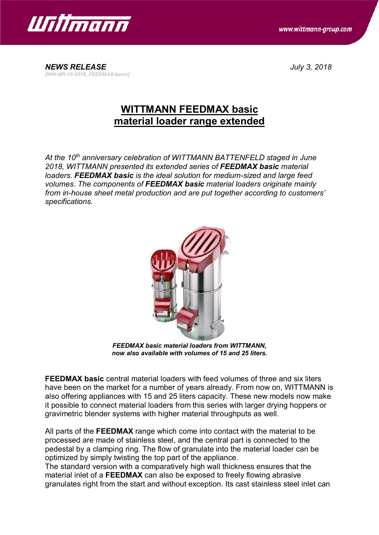

www.wittmann-group.com

*NEWS RELEASE July 3, 2018 [Witt-NR-10-2018\_FEEDMAX-basic]*

## **WITTMANN FEEDMAX basic material loader range extended**

*At the 10th anniversary celebration of WITTMANN BATTENFELD staged in June 2018, WITTMANN presented its extended series of FEEDMAX basic material loaders. FEEDMAX basic is the ideal solution for medium-sized and large feed volumes. The components of FEEDMAX basic material loaders originate mainly from in-house sheet metal production and are put together according to customers' specifications.*



*FEEDMAX basic material loaders from WITTMANN, now also available with volumes of 15 and 25 liters.*

**FEEDMAX basic** central material loaders with feed volumes of three and six liters have been on the market for a number of years already. From now on, WITTMANN is also offering appliances with 15 and 25 liters capacity. These new models now make it possible to connect material loaders from this series with larger drying hoppers or gravimetric blender systems with higher material throughputs as well.

All parts of the **FEEDMAX** range which come into contact with the material to be processed are made of stainless steel, and the central part is connected to the pedestal by a clamping ring. The flow of granulate into the material loader can be optimized by simply twisting the top part of the appliance.

The standard version with a comparatively high wall thickness ensures that the material inlet of a **FEEDMAX** can also be exposed to freely flowing abrasive granulates right from the start and without exception. Its cast stainless steel inlet can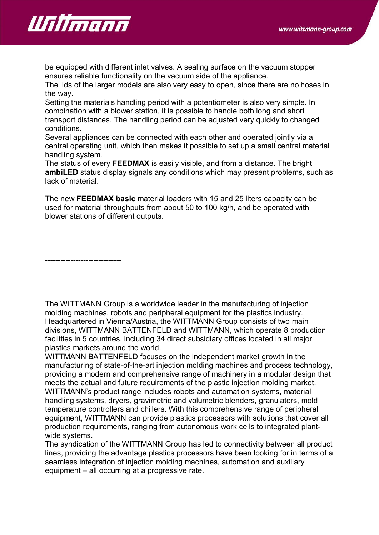

be equipped with different inlet valves. A sealing surface on the vacuum stopper ensures reliable functionality on the vacuum side of the appliance.

The lids of the larger models are also very easy to open, since there are no hoses in the way.

Setting the materials handling period with a potentiometer is also very simple. In combination with a blower station, it is possible to handle both long and short transport distances. The handling period can be adjusted very quickly to changed conditions.

Several appliances can be connected with each other and operated jointly via a central operating unit, which then makes it possible to set up a small central material handling system.

The status of every **FEEDMAX** is easily visible, and from a distance. The bright **ambiLED** status display signals any conditions which may present problems, such as lack of material.

The new **FEEDMAX basic** material loaders with 15 and 25 liters capacity can be used for material throughputs from about 50 to 100 kg/h, and be operated with blower stations of different outputs.

------------------------------

The WITTMANN Group is a worldwide leader in the manufacturing of injection molding machines, robots and peripheral equipment for the plastics industry. Headquartered in Vienna/Austria, the WITTMANN Group consists of two main divisions, WITTMANN BATTENFELD and WITTMANN, which operate 8 production facilities in 5 countries, including 34 direct subsidiary offices located in all major plastics markets around the world.

WITTMANN BATTENFELD focuses on the independent market growth in the manufacturing of state-of-the-art injection molding machines and process technology, providing a modern and comprehensive range of machinery in a modular design that meets the actual and future requirements of the plastic injection molding market. WITTMANN's product range includes robots and automation systems, material handling systems, dryers, gravimetric and volumetric blenders, granulators, mold temperature controllers and chillers. With this comprehensive range of peripheral equipment, WITTMANN can provide plastics processors with solutions that cover all production requirements, ranging from autonomous work cells to integrated plantwide systems.

The syndication of the WITTMANN Group has led to connectivity between all product lines, providing the advantage plastics processors have been looking for in terms of a seamless integration of injection molding machines, automation and auxiliary equipment – all occurring at a progressive rate.